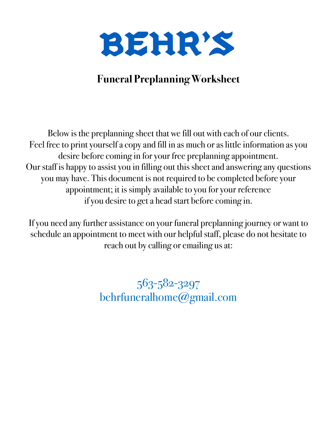

## **Funeral Preplanning Worksheet**

Below is the preplanning sheet that we fill out with each of our clients. Feel free to print yourself a copy and fill in as much or as little information as you desire before coming in for your free preplanning appointment. Our staff is happy to assist you in filling out this sheet and answering any questions you may have. This document is not required to be completed before your appointment; it is simply available to you for your reference if you desire to get a head start before coming in.

If you need any further assistance on your funeral preplanning journey or want to schedule an appointment to meet with our helpful staff, please do not hesitate to reach out by calling or emailing us at:

> 563-582-3297 behrfuneralhome@gmail.com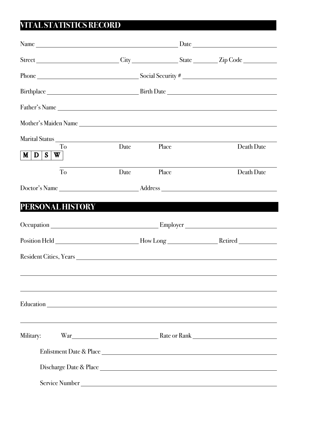### **VITAL STATISTICS RECORD**

|                      |      |                                             | Street City City State Zip Code                                                                      |  |  |
|----------------------|------|---------------------------------------------|------------------------------------------------------------------------------------------------------|--|--|
|                      |      |                                             |                                                                                                      |  |  |
|                      |      | Birthplace Birth Date Birth Date Birth Date |                                                                                                      |  |  |
| Father's Name        |      |                                             |                                                                                                      |  |  |
| Mother's Maiden Name |      |                                             |                                                                                                      |  |  |
| To<br>M   D   S   W  | Date | Place                                       | Death Date                                                                                           |  |  |
| To                   | Date | Place                                       | Death Date                                                                                           |  |  |
|                      |      |                                             |                                                                                                      |  |  |
| PERSONAL HISTORY     |      |                                             |                                                                                                      |  |  |
|                      |      |                                             |                                                                                                      |  |  |
|                      |      |                                             | Position Held _____________________________How Long ____________________________Retired ____________ |  |  |
|                      |      |                                             |                                                                                                      |  |  |
|                      |      |                                             |                                                                                                      |  |  |
|                      |      |                                             | ,我们也不会有一个人的人,我们也不会有一个人的人,我们也不会有一个人的人。""我们,我们也不会有一个人的人,我们也不会有一个人的人,我们也不会有一个人的人,我们                     |  |  |
| Military:            |      |                                             | War Rank Rank Rank Rank                                                                              |  |  |
|                      |      |                                             | Enlistment Date & Place                                                                              |  |  |
|                      |      |                                             |                                                                                                      |  |  |
|                      |      | Service Number                              |                                                                                                      |  |  |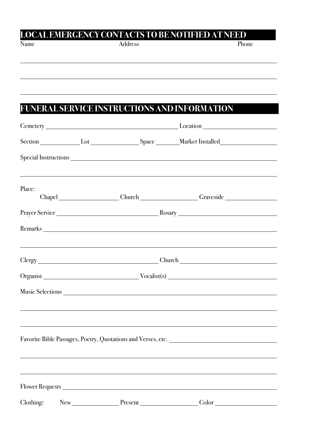# **LOCAL EMERGENCY CONTACTS TO BE NOTIFIED AT NEED**<br>Name Address

Name Address Address Phone

### FUNERAL SERVICE INSTRUCTIONS AND INFORMATION

|           |  |             | Section Lot Lot Space Marker Installed                                                                                                                                                                                                                                                                                                                                                                                                                                                                                                                                                                         |  |  |
|-----------|--|-------------|----------------------------------------------------------------------------------------------------------------------------------------------------------------------------------------------------------------------------------------------------------------------------------------------------------------------------------------------------------------------------------------------------------------------------------------------------------------------------------------------------------------------------------------------------------------------------------------------------------------|--|--|
|           |  |             |                                                                                                                                                                                                                                                                                                                                                                                                                                                                                                                                                                                                                |  |  |
| Place:    |  |             | Chapel Chapel Church Church Chapel Chapel Chapel Chapel Chapel Chapel Chapel Chapel Chapel Chapel Chapel Chapel Chapel Chapel Chapel Chapel Chapel Chapel Chapel Chapel Chapel Chapel Chapel Chapel Chapel Chapel Chapel Chape                                                                                                                                                                                                                                                                                                                                                                                 |  |  |
|           |  |             |                                                                                                                                                                                                                                                                                                                                                                                                                                                                                                                                                                                                                |  |  |
|           |  |             |                                                                                                                                                                                                                                                                                                                                                                                                                                                                                                                                                                                                                |  |  |
|           |  |             |                                                                                                                                                                                                                                                                                                                                                                                                                                                                                                                                                                                                                |  |  |
|           |  |             |                                                                                                                                                                                                                                                                                                                                                                                                                                                                                                                                                                                                                |  |  |
|           |  |             |                                                                                                                                                                                                                                                                                                                                                                                                                                                                                                                                                                                                                |  |  |
|           |  |             |                                                                                                                                                                                                                                                                                                                                                                                                                                                                                                                                                                                                                |  |  |
|           |  |             |                                                                                                                                                                                                                                                                                                                                                                                                                                                                                                                                                                                                                |  |  |
|           |  |             |                                                                                                                                                                                                                                                                                                                                                                                                                                                                                                                                                                                                                |  |  |
|           |  |             |                                                                                                                                                                                                                                                                                                                                                                                                                                                                                                                                                                                                                |  |  |
|           |  |             |                                                                                                                                                                                                                                                                                                                                                                                                                                                                                                                                                                                                                |  |  |
|           |  |             |                                                                                                                                                                                                                                                                                                                                                                                                                                                                                                                                                                                                                |  |  |
|           |  |             |                                                                                                                                                                                                                                                                                                                                                                                                                                                                                                                                                                                                                |  |  |
| Clothing: |  | New Present | $\text{Color}\underline{\hspace{2cm}}\underline{\hspace{2cm}}\underline{\hspace{2cm}}\underline{\hspace{2cm}}\underline{\hspace{2cm}}\underline{\hspace{2cm}}\underline{\hspace{2cm}}\underline{\hspace{2cm}}\underline{\hspace{2cm}}\underline{\hspace{2cm}}\underline{\hspace{2cm}}\underline{\hspace{2cm}}\underline{\hspace{2cm}}\underline{\hspace{2cm}}\underline{\hspace{2cm}}\underline{\hspace{2cm}}\underline{\hspace{2cm}}\underline{\hspace{2cm}}\underline{\hspace{2cm}}\underline{\hspace{2cm}}\underline{\hspace{2cm}}\underline{\hspace{2cm}}\underline{\hspace{2cm}}\underline{\hspace{2cm}}$ |  |  |